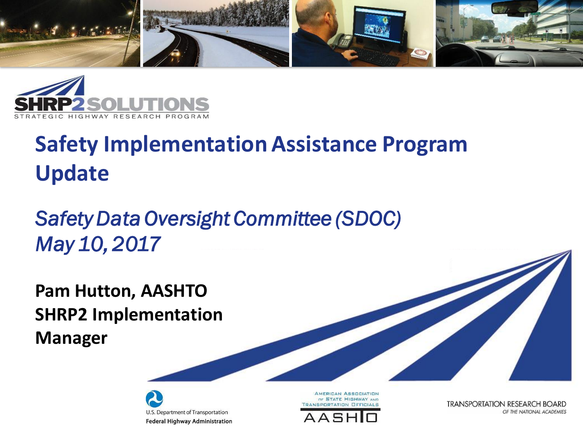



#### **Safety Implementation Assistance Program Update**

#### *Safety Data Oversight Committee (SDOC) May 10, 2017*

**Pam Hutton, AASHTO SHRP2 Implementation Manager**





**AMERICAN ASSOCIATION** OF STATE HIGHWAY AND **TRANSPORTATION OFFICIALS** 



**TRANSPORTATION RESEARCH BOARD** OF THE NATIONAL ACADEMIES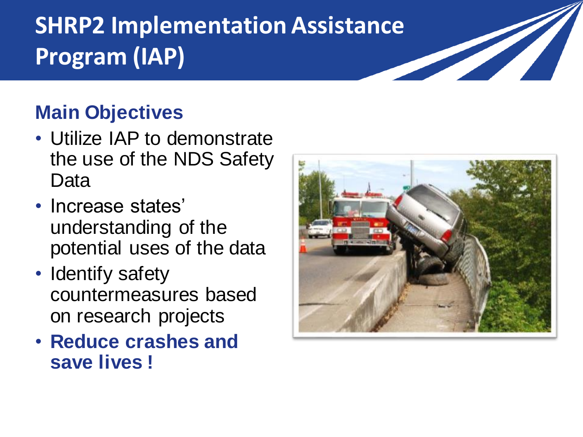### **SHRP2 Implementation Assistance Program (IAP)**

#### **Main Objectives**

- Utilize IAP to demonstrate the use of the NDS Safety Data
- Increase states' understanding of the potential uses of the data
- Identify safety countermeasures based on research projects
- **Reduce crashes and save lives !**



<u>San Sara</u>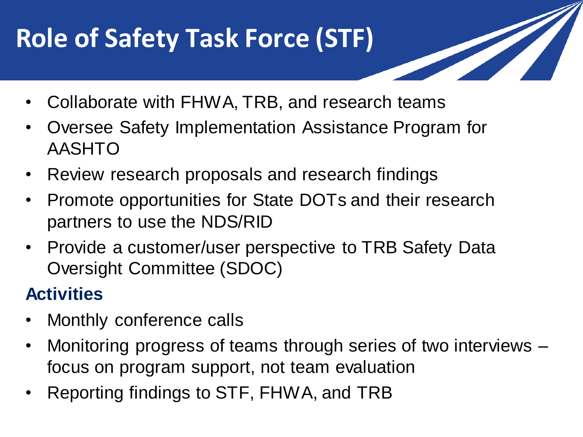# **Role of Safety Task Force (STF)**

- Collaborate with FHWA, TRB, and research teams
- Oversee Safety Implementation Assistance Program for AASHTO
- Review research proposals and research findings
- Promote opportunities for State DOTs and their research partners to use the NDS/RID
- Provide a customer/user perspective to TRB Safety Data Oversight Committee (SDOC)

#### **Activities**

- Monthly conference calls
- Monitoring progress of teams through series of two interviews focus on program support, not team evaluation
- Reporting findings to STF, FHWA, and TRB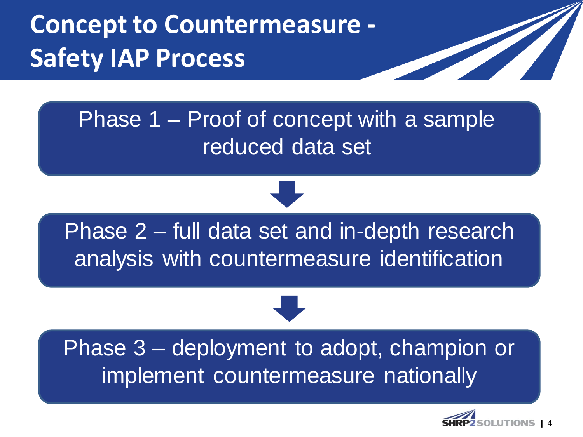# **Concept to Countermeasure - Safety IAP Process**

#### Phase 1 – Proof of concept with a sample reduced data set

Phase 2 – full data set and in-depth research analysis with countermeasure identification

#### Phase 3 – deployment to adopt, champion or implement countermeasure nationally

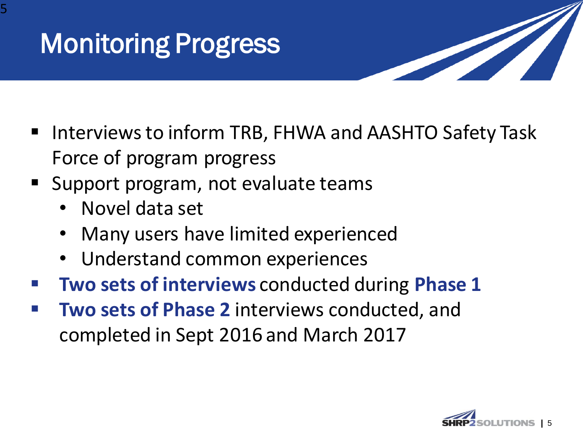

- Interviews to inform TRB, FHWA and AASHTO Safety Task Force of program progress
- Support program, not evaluate teams
	- Novel data set
	- Many users have limited experienced
	- Understand common experiences
- **Two sets of interviews** conducted during **Phase 1**
- **Two sets of Phase 2** interviews conducted, and completed in Sept 2016 and March 2017

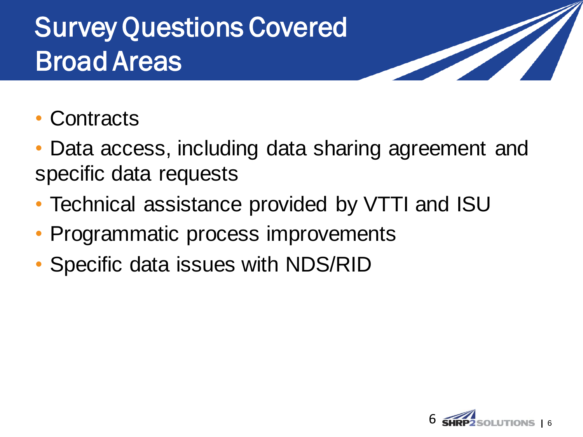# Survey Questions Covered Broad Areas

- **Contracts**
- Data access, including data sharing agreement and specific data requests
- Technical assistance provided by VTTI and ISU
- Programmatic process improvements
- Specific data issues with NDS/RID

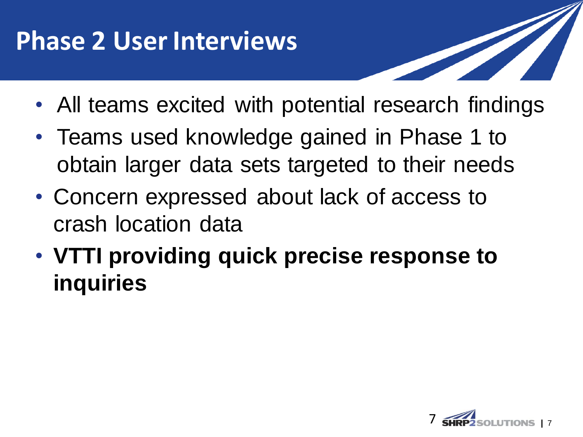## **Phase 2 User Interviews**

- All teams excited with potential research findings
- Teams used knowledge gained in Phase 1 to obtain larger data sets targeted to their needs
- Concern expressed about lack of access to crash location data
- **VTTI providing quick precise response to inquiries**

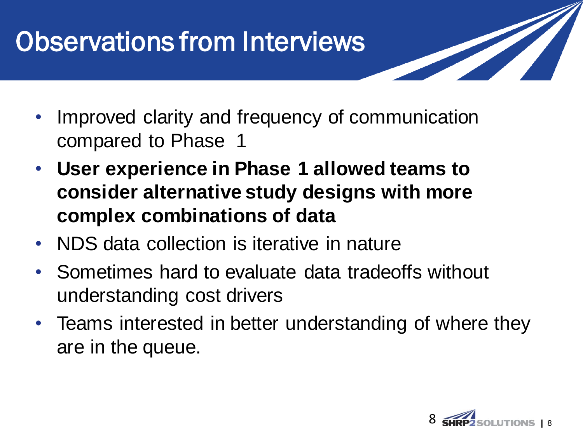# Observations from Interviews

- Improved clarity and frequency of communication compared to Phase 1
- **User experience in Phase 1 allowed teams to consider alternative study designs with more complex combinations of data**
- NDS data collection is iterative in nature
- Sometimes hard to evaluate data tradeoffs without understanding cost drivers
- Teams interested in better understanding of where they are in the queue.

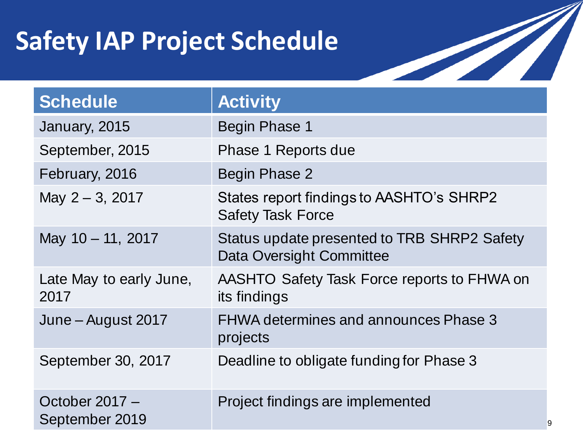# **Safety IAP Project Schedule**

| Schedule                         | <b>Activity</b>                                                         |
|----------------------------------|-------------------------------------------------------------------------|
| January, 2015                    | <b>Begin Phase 1</b>                                                    |
| September, 2015                  | Phase 1 Reports due                                                     |
| February, 2016                   | Begin Phase 2                                                           |
| May 2 - 3, 2017                  | States report findings to AASHTO's SHRP2<br><b>Safety Task Force</b>    |
| May 10 - 11, 2017                | Status update presented to TRB SHRP2 Safety<br>Data Oversight Committee |
| Late May to early June,<br>2017  | AASHTO Safety Task Force reports to FHWA on<br>its findings             |
| June – August 2017               | <b>FHWA determines and announces Phase 3</b><br>projects                |
| September 30, 2017               | Deadline to obligate funding for Phase 3                                |
| October 2017 -<br>September 2019 | Project findings are implemented                                        |

**|** 9

**Soldiers**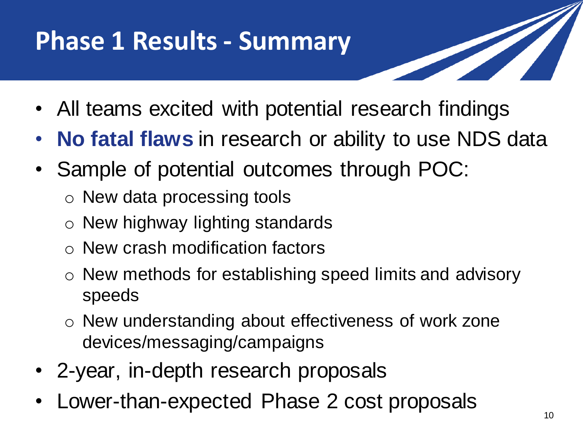# **Phase 1 Results - Summary**

- All teams excited with potential research findings
- **No fatal flaws** in research or ability to use NDS data
- Sample of potential outcomes through POC:
	- o New data processing tools
	- o New highway lighting standards
	- o New crash modification factors
	- o New methods for establishing speed limits and advisory speeds
	- o New understanding about effectiveness of work zone devices/messaging/campaigns
- 2-year, in-depth research proposals
- Lower-than-expected Phase 2 cost proposals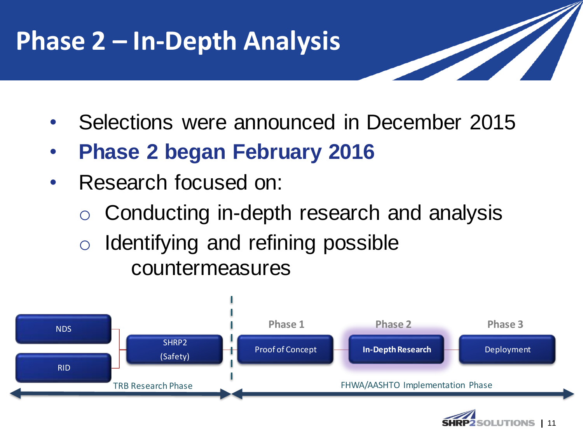# **Phase 2 – In-Depth Analysis**

- Selections were announced in December 2015
- **Phase 2 began February 2016**
- Research focused on:
	- o Conducting in-depth research and analysis
	- o Identifying and refining possible countermeasures



**|** 11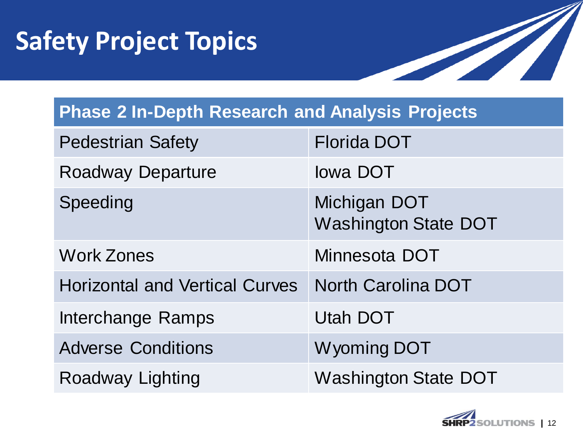# **Safety Project Topics**



#### **Phase 2 In-Depth Research and Analysis Projects**

| <b>Pedestrian Safety</b>              | <b>Florida DOT</b>                          |
|---------------------------------------|---------------------------------------------|
| <b>Roadway Departure</b>              | lowa DOT                                    |
| Speeding                              | Michigan DOT<br><b>Washington State DOT</b> |
| <b>Work Zones</b>                     | Minnesota DOT                               |
| <b>Horizontal and Vertical Curves</b> | <b>North Carolina DOT</b>                   |
| <b>Interchange Ramps</b>              | <b>Utah DOT</b>                             |
| <b>Adverse Conditions</b>             | <b>Wyoming DOT</b>                          |
| <b>Roadway Lighting</b>               | <b>Washington State DOT</b>                 |

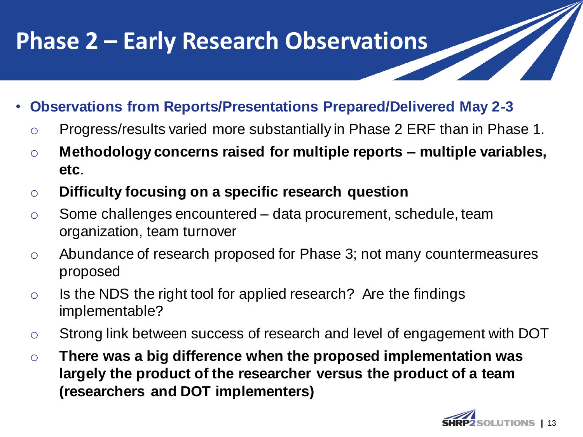#### **Phase 2 – Early Research Observations**

- **Observations from Reports/Presentations Prepared/Delivered May 2-3**
	- o Progress/results varied more substantially in Phase 2 ERF than in Phase 1.
	- o **Methodology concerns raised for multiple reports – multiple variables, etc**.
	- o **Difficulty focusing on a specific research question**
	- $\circ$  Some challenges encountered data procurement, schedule, team organization, team turnover
	- o Abundance of research proposed for Phase 3; not many countermeasures proposed
	- o Is the NDS the right tool for applied research? Are the findings implementable?
	- o Strong link between success of research and level of engagement with DOT
	- o **There was a big difference when the proposed implementation was largely the product of the researcher versus the product of a team (researchers and DOT implementers)**

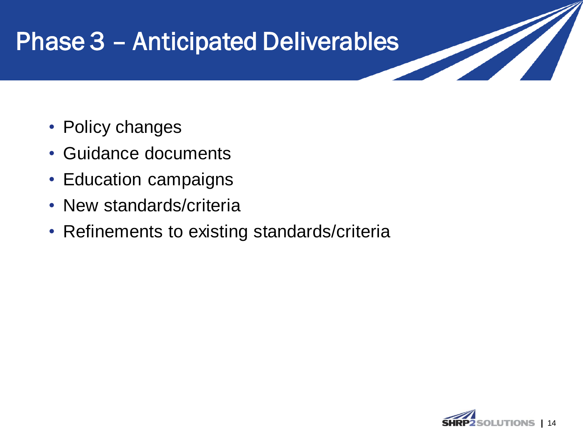#### Phase 3 – Anticipated Deliverables

- Policy changes
- Guidance documents
- Education campaigns
- New standards/criteria
- Refinements to existing standards/criteria



**START START START START START**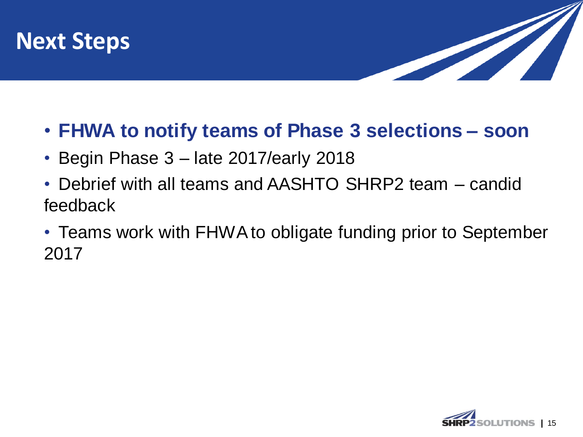



- **FHWA to notify teams of Phase 3 selections – soon**
- Begin Phase 3 late 2017/early 2018
- Debrief with all teams and AASHTO SHRP2 team candid feedback
- Teams work with FHWA to obligate funding prior to September 2017